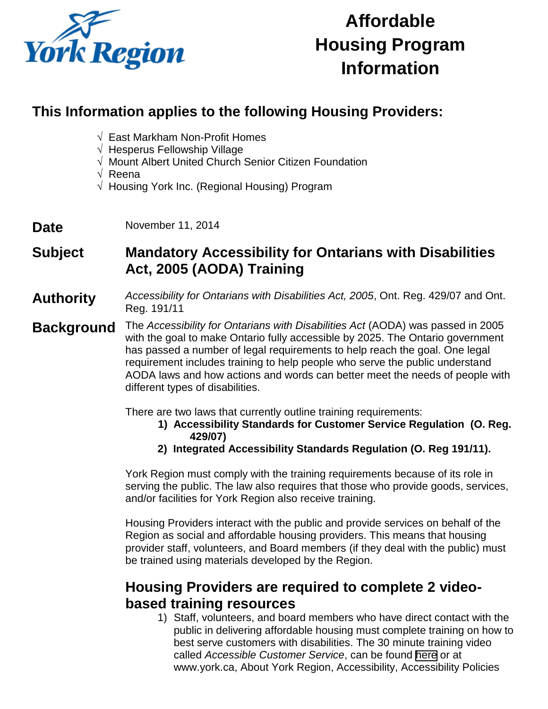

# **Affordable Housing Program Information**

## **This Information applies to the following Housing Providers:**

- √ East Markham Non-Profit Homes
- √ Hesperus Fellowship Village
- √ Mount Albert United Church Senior Citizen Foundation
- √ Reena
- √ Housing York Inc. (Regional Housing) Program
- Date November 11, 2014

# **Subject Mandatory Accessibility for Ontarians with Disabilities Act, 2005 (AODA) Training**

**Authority** *Accessibility for Ontarians with Disabilities Act, 2005*, Ont. Reg. 429/07 and Ont. Reg. 191/11

**Background** The *Accessibility for Ontarians with Disabilities Act* (AODA) was passed in 2005 with the goal to make Ontario fully accessible by 2025. The Ontario government has passed a number of legal requirements to help reach the goal. One legal requirement includes training to help people who serve the public understand AODA laws and how actions and words can better meet the needs of people with different types of disabilities.

There are two laws that currently outline training requirements:

- **1) Accessibility Standards for Customer Service Regulation (O. Reg. 429/07)**
- **2) Integrated Accessibility Standards Regulation (O. Reg 191/11).**

York Region must comply with the training requirements because of its role in serving the public. The law also requires that those who provide goods, services, and/or facilities for York Region also receive training.

Housing Providers interact with the public and provide services on behalf of the Region as social and affordable housing providers. This means that housing provider staff, volunteers, and Board members (if they deal with the public) must be trained using materials developed by the Region.

#### **Housing Providers are required to complete 2 videobased training resources**

1) Staff, volunteers, and board members who have direct contact with the public in delivering affordable housing must complete training on how to best serve customers with disabilities. The 30 minute training video called *Accessible Customer Service*, can be found [here](http://www.york.ca/wps/portal/yorkhome/yorkregion/yr/accessibility/!ut/p/a1/rZRPb5wwEMU_Sw4cWQ82LN7eXJoG2C5bKa26cFkZ1oBT_gWcTeinr6GVqkZN0rRwm9Hw07w38kMJOqCk4WdZcCXbhldTnayPAbsKfH8L4d6mHjDYsxC7FOjW1QOxHoAnPgbz_xjba9_yIAR_TyF473503lHfgi1GX1CCkqxRnSpRPPbHrG2UaJQBY9t_1cWgpLqbG2Vbix_tXhR6OwN4lolhkKmspBonTscLcRKDLJq5yuQJxWKDN7mV22Zmkdy0XRub3HaJeXJTnjtr27LszU8Vz6z5gguziud9CFFSVG06exqzJiW0QEkvctGLfnXX63apVPfGAAPqsWt7xavVJHaVcQPuu-FX2wB_tiIS9wNvTpdnbc_wJ2rZDgodHtNQrMW6T6q5ttD1K917AeguDMR4aaCzNHBpycG_HiUMwLOYBl6RSwIMBx59S0IaRbD0hmRhIFv6ymxpyez1Vw7_Ik5xv_N2xRRmqjRlk7fo8HvQ6Rl5c3ubMB2cU1o-6Ef-X8nZ1Z9repN_WOc75aROd_72Ka_rYxSZPKVAHjVGUhUXF98BQaDDWw!!/dl5/d5/L2dBISEvZ0FBIS9nQSEh/) or at www.york.ca, About York Region, Accessibility, Accessibility Policies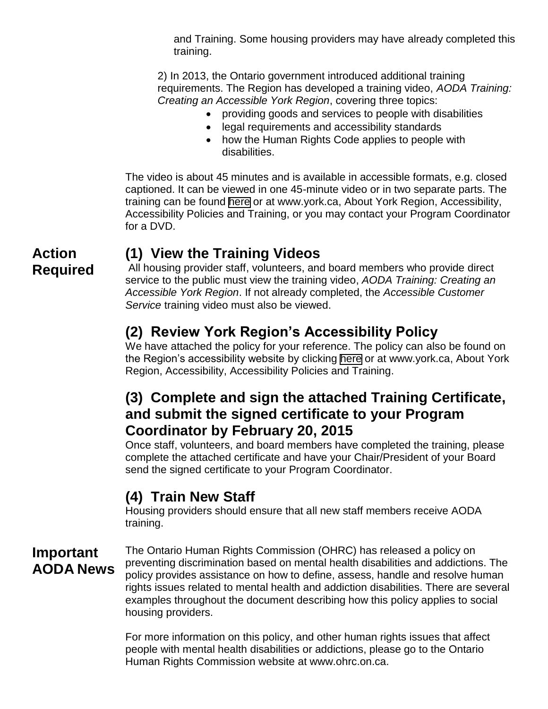and Training. Some housing providers may have already completed this training.

2) In 2013, the Ontario government introduced additional training requirements. The Region has developed a training video, *AODA Training: Creating an Accessible York Region*, covering three topics:

- providing goods and services to people with disabilities
- legal requirements and accessibility standards
- how the Human Rights Code applies to people with disabilities.

The video is about 45 minutes and is available in accessible formats, e.g. closed captioned. It can be viewed in one 45-minute video or in two separate parts. The training can be found [here](http://www.york.ca/wps/portal/yorkhome/yorkregion/yr/accessibility/accessibilitypolicyandtraining/accessibilitypoliciesandtraining/!ut/p/a1/rZRbb5tAEIV_Sx94xHvBXNK3DU0DOLajJpUNL9Z6WWAbWBBsHDm_vguNlJY6cVPB25kdjma-Iw1IwBYkkh5ETpWoJS17nTi7kFyHQbCA0Xru-ZDANYmw60Fv4eqGWDfANz4Ch_8xnjsB8mEEg7UHw6_urf3FCxBcYLABCUiYVI0qQHxsd6yWiktlwGPdPmjRKaEeh0JRV_xXueW5ns6AlDHedWIvSqGOI9nUpWBHKlPVUiGFzE-9C9791tFP0tCcp7wTuRwUEymImcuQY2PHRCxl5hyl2Ly4yKiZpixFroVRirIXDu8seobjwOEMyXdZ-vaZBj1DBJK8rPdDrjGRe8vTS7c84y1vZ4-tLhdKNZ8NaMBKE2oVLWc98BmjBnxquteyAYMhjhV_6hFeHXRE3SnXou4U2I7dQKxxuW_yuEPg7oP8zxi6ExtiPLWhPbXh1CuH_xtKFEIfEW14bV1ZkODQ9y6tyFut4NQTWhMbkqlTJlOvTD6ecvQPJx23S3-Z9-dQFaaQWQ22f1zPkfzr2J56Hx3bzSVI1G2A7gloqu-V9yO7cb4Fzzd8Y9K9By27OTzfZ1W1W61GhWUXPHz6CWgukEI!/dl5/d5/L2dBISEvZ0FBIS9nQSEh/) or at www.york.ca, About York Region, Accessibility, Accessibility Policies and Training, or you may contact your Program Coordinator for a DVD.

#### **(1) View the Training Videos**

All housing provider staff, volunteers, and board members who provide direct service to the public must view the training video, *AODA Training: Creating an Accessible York Region*. If not already completed, the *Accessible Customer Service* training video must also be viewed.

# **(2) Review York Region's Accessibility Policy**

We have attached the policy for your reference. The policy can also be found on the Region's accessibility website by clicking [here](http://www.york.ca/wps/portal/yorkhome/yorkregion/yr/accessibility/accessibilitypolicyandtraining/accessibilitypoliciesandtraining/!ut/p/a1/rZRbb5tAEIV_Sx94xHvBXNK3DU0DOLajJpUNL9Z6WWAbWBBsHDm_vguNlJY6cVPB25kdjma-Iw1IwBYkkh5ETpWoJS17nTi7kFyHQbCA0Xru-ZDANYmw60F) or at www.york.ca, About York Region, Accessibility, Accessibility Policies and Training.

## **(3) Complete and sign the attached Training Certificate, and submit the signed certificate to your Program Coordinator by February 20, 2015**

Once staff, volunteers, and board members have completed the training, please complete the attached certificate and have your Chair/President of your Board send the signed certificate to your Program Coordinator.

# **(4) Train New Staff**

Housing providers should ensure that all new staff members receive AODA training.

#### **Important AODA News**

The Ontario Human Rights Commission (OHRC) has released a policy on preventing discrimination based on mental health disabilities and addictions. The policy provides assistance on how to define, assess, handle and resolve human rights issues related to mental health and addiction disabilities. There are several examples throughout the document describing how this policy applies to social housing providers.

For more information on this policy, and other human rights issues that affect people with mental health disabilities or addictions, please go to the Ontario Human Rights Commission website at www.ohrc.on.ca.

#### **Action Required**